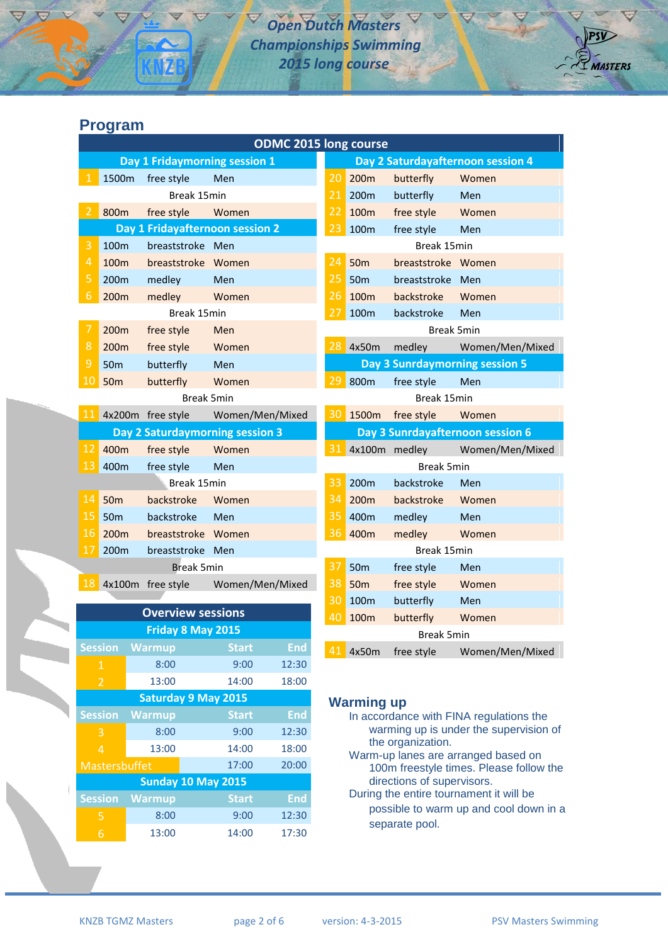# *Open Dutch Masters Championships Swimming 2015 long course*



| <b>ODMC 2015 long course</b>    |                          |                                 |                 |             |                                  |                                   |                    |                                |  |
|---------------------------------|--------------------------|---------------------------------|-----------------|-------------|----------------------------------|-----------------------------------|--------------------|--------------------------------|--|
| Day 1 Fridaymorning session 1   |                          |                                 |                 |             |                                  | Day 2 Saturdayafternoon session 4 |                    |                                |  |
| 1                               | 1500m                    | free style                      | Men             |             | 20                               | 200 <sub>m</sub>                  | butterfly          | Women                          |  |
|                                 | Break 15min              |                                 |                 | 21          | 200m                             | butterfly                         | Men                |                                |  |
| $\overline{2}$                  | 800m                     | free style                      | Women           |             | 22                               | 100m                              | free style         | Women                          |  |
|                                 |                          | Day 1 Fridayafternoon session 2 |                 |             | 23                               | 100m                              | free style         | Men                            |  |
| 3                               | 100m<br>breaststroke Men |                                 |                 | Break 15min |                                  |                                   |                    |                                |  |
| $\overline{4}$                  | 100m                     | breaststroke Women              |                 |             | 24                               | 50 <sub>m</sub>                   | breaststroke Women |                                |  |
| 5                               | 200m                     | medley                          | Men             |             | 25                               | <b>50m</b>                        | breaststroke Men   |                                |  |
| $\sqrt{6}$                      | 200m                     | medley                          | Women           |             | 26                               | 100 <sub>m</sub>                  | backstroke         | Women                          |  |
|                                 |                          | Break 15min                     |                 |             | 27                               | 100m                              | backstroke         | Men                            |  |
| $\overline{7}$                  | 200 <sub>m</sub>         | free style                      | Men             |             | <b>Break 5min</b>                |                                   |                    |                                |  |
| 8                               | 200m                     | free style                      | Women           |             | 28                               | 4x50m                             | medley             | Women/Men/Mixed                |  |
| $\overline{9}$                  | 50 <sub>m</sub>          | butterfly                       | Men             |             |                                  |                                   |                    | Day 3 Sunrdaymorning session 5 |  |
| 10                              | <b>50m</b>               | butterfly                       | Women           |             | 29                               | 800m                              | free style         | Men                            |  |
|                                 | <b>Break 5min</b>        |                                 |                 |             |                                  | Break 15min                       |                    |                                |  |
|                                 |                          | 11 4x200m free style            | Women/Men/Mixed |             |                                  | 30 1500m                          | free style         | Women                          |  |
| Day 2 Saturdaymorning session 3 |                          |                                 |                 |             | Day 3 Sunrdayafternoon session 6 |                                   |                    |                                |  |
| 12                              | 400m                     | free style                      | Women           |             | 31                               |                                   | 4x100m medley      | Women/Men/Mixed                |  |
| 13                              | 400m                     | free style                      | Men             |             |                                  | <b>Break 5min</b>                 |                    |                                |  |
|                                 | Break 15min              |                                 |                 |             | 33                               | 200 <sub>m</sub>                  | backstroke         | Men                            |  |
| 14                              | <b>50m</b>               | backstroke                      | Women           |             | 34                               | 200m                              | backstroke         | Women                          |  |
| 15                              | 50 <sub>m</sub>          | backstroke                      | Men             |             | 35                               | 400m                              | medley             | Men                            |  |
| 16                              | 200 <sub>m</sub>         | breaststroke Women              |                 |             | 36                               | 400m                              | medley             | Women                          |  |
| 17                              | 200m                     | breaststroke Men                |                 |             |                                  |                                   | Break 15min        |                                |  |
| <b>Break 5min</b>               |                          |                                 |                 |             | 37                               | 50 <sub>m</sub>                   | free style         | Men                            |  |
|                                 |                          | 18 4x100m free style            | Women/Men/Mixed |             | 38                               | <b>50m</b>                        | free style         | Women                          |  |
|                                 |                          |                                 |                 |             | 30                               | 100m                              | butterfly          | Men                            |  |
| <b>Overview sessions</b>        |                          |                                 |                 |             | 40                               | 100m                              | butterfly          | Women                          |  |
| <b>Friday 8 May 2015</b>        |                          |                                 |                 |             |                                  |                                   | <b>Break 5min</b>  |                                |  |
|                                 | <b>Session</b>           | <b>Warmup</b>                   | <b>Start</b>    | <b>End</b>  |                                  | 4x50m                             | free style         | Women/Men/Mixed                |  |
| $-1$                            |                          | 8:00                            | 9:00            | 12:30       |                                  |                                   |                    |                                |  |

#### **Warming up**

- In accordance with FINA regulations the warming up is under the supervision of the organization.
- Warm-up lanes are arranged based on 100m freestyle times. Please follow the directions of supervisors.
- During the entire tournament it will be possible to warm up and cool down in a separate pool.

| $\mathbf{1}$               | 8:00          | 9:00         | 12:30      |  |  |  |  |  |
|----------------------------|---------------|--------------|------------|--|--|--|--|--|
| $\overline{2}$             | 13:00         | 14:00        | 18:00      |  |  |  |  |  |
| <b>Saturday 9 May 2015</b> |               |              |            |  |  |  |  |  |
| <b>Session</b>             | <b>Warmup</b> | <b>Start</b> | <b>End</b> |  |  |  |  |  |
| 3                          | 8:00          | 9:00         | 12:30      |  |  |  |  |  |
| $\boldsymbol{\Lambda}$     | 13:00         | 14:00        | 18:00      |  |  |  |  |  |
| <b>Mastersbuffet</b>       |               | 17:00        | 20:00      |  |  |  |  |  |
| <b>Sunday 10 May 2015</b>  |               |              |            |  |  |  |  |  |
| <b>Session</b>             | <b>Warmup</b> | <b>Start</b> | <b>End</b> |  |  |  |  |  |
| 5                          | 8:00          | 9:00         | 12:30      |  |  |  |  |  |
| 6                          | 13:00         | 14:00        | 17:30      |  |  |  |  |  |
|                            |               |              |            |  |  |  |  |  |

**MASTERS**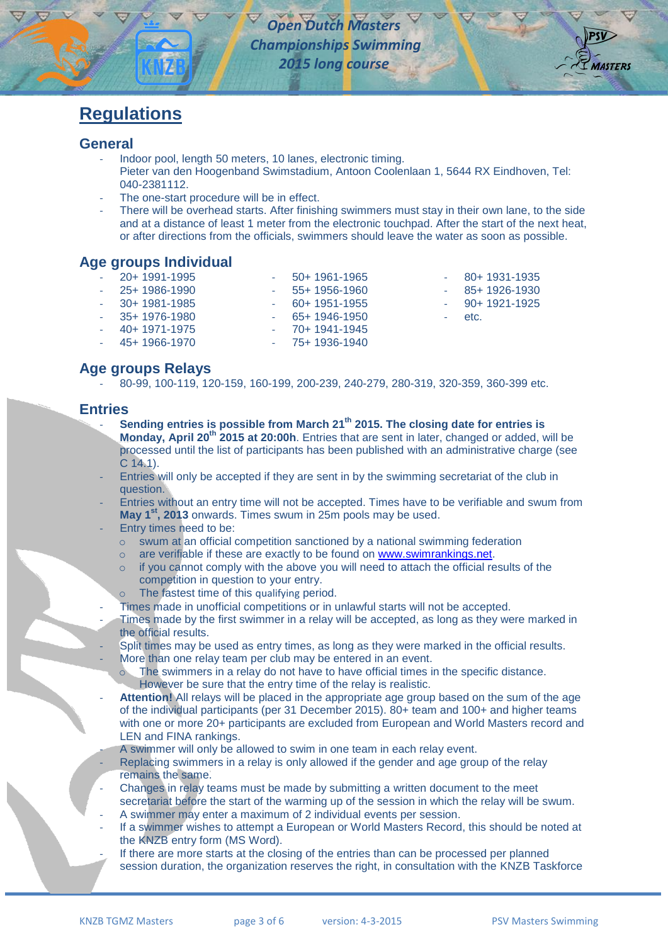

- 80+ 1931-1935 - 85+ 1926-1930 - 90+ 1921-1925

etc.

# **Regulations**

#### **General**

- Indoor pool, length 50 meters, 10 lanes, electronic timing. Pieter van den Hoogenband Swimstadium, Antoon Coolenlaan 1, 5644 RX Eindhoven, Tel: 040-2381112.
- The one-start procedure will be in effect.
- There will be overhead starts. After finishing swimmers must stay in their own lane, to the side and at a distance of least 1 meter from the electronic touchpad. After the start of the next heat, or after directions from the officials, swimmers should leave the water as soon as possible.

# **Age groups Individual**

- 20+ 1991-1995
- 25+ 1986-1990
- 30+ 1981-1985
- 35+ 1976-1980
	- 40+ 1971-1975
- 60+ 1951-1955 - 65+ 1946-1950
- 70+ 1941-1945

- 50+ 1961-1965 - 55+ 1956-1960

- 45+ 1966-1970 - 75+ 1936-1940

# **Age groups Relays**

- 80-99, 100-119, 120-159, 160-199, 200-239, 240-279, 280-319, 320-359, 360-399 etc.

## **Entries**

- **Sending entries is possible from March 21 th 2015. The closing date for entries is Monday, April 20th 2015 at 20:00h**. Entries that are sent in later, changed or added, will be processed until the list of participants has been published with an administrative charge (see C 14.1).
- Entries will only be accepted if they are sent in by the swimming secretariat of the club in question.
- Entries without an entry time will not be accepted. Times have to be verifiable and swum from **May 1 st, 2013** onwards. Times swum in 25m pools may be used.
- Entry times need to be:
	- o swum at an official competition sanctioned by a national swimming federation
	- $\circ$  are verifiable if these are exactly to be found on [www.swimrankings.net.](http://www.swimrankings.net/)
	- if you cannot comply with the above you will need to attach the official results of the competition in question to your entry.
	- o The fastest time of this qualifying period.
- Times made in unofficial competitions or in unlawful starts will not be accepted.
- Times made by the first swimmer in a relay will be accepted, as long as they were marked in the official results.
- Split times may be used as entry times, as long as they were marked in the official results.
- More than one relay team per club may be entered in an event.
	- The swimmers in a relay do not have to have official times in the specific distance. However be sure that the entry time of the relay is realistic.
- Attention! All relays will be placed in the appropriate age group based on the sum of the age of the individual participants (per 31 December 2015). 80+ team and 100+ and higher teams with one or more 20+ participants are excluded from European and World Masters record and LEN and FINA rankings.
- A swimmer will only be allowed to swim in one team in each relay event.
- Replacing swimmers in a relay is only allowed if the gender and age group of the relay remains the same.
- Changes in relay teams must be made by submitting a written document to the meet secretariat before the start of the warming up of the session in which the relay will be swum.
- A swimmer may enter a maximum of 2 individual events per session.
- If a swimmer wishes to attempt a European or World Masters Record, this should be noted at the KNZB entry form (MS Word).
- If there are more starts at the closing of the entries than can be processed per planned session duration, the organization reserves the right, in consultation with the KNZB Taskforce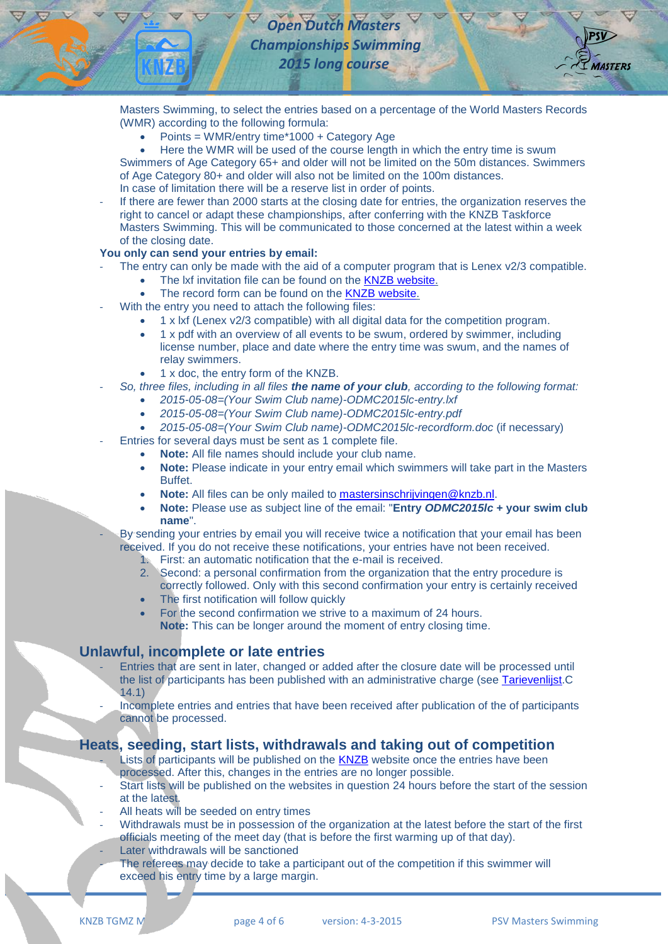

Masters Swimming, to select the entries based on a percentage of the World Masters Records (WMR) according to the following formula:

- Points = WMR/entry time\*1000 + Category Age
- Here the WMR will be used of the course length in which the entry time is swum

Swimmers of Age Category 65+ and older will not be limited on the 50m distances. Swimmers of Age Category 80+ and older will also not be limited on the 100m distances. In case of limitation there will be a reserve list in order of points.

If there are fewer than 2000 starts at the closing date for entries, the organization reserves the right to cancel or adapt these championships, after conferring with the KNZB Taskforce Masters Swimming. This will be communicated to those concerned at the latest within a week of the closing date.

#### **You only can send your entries by email:**

- The entry can only be made with the aid of a computer program that is Lenex v2/3 compatible.
	- The lxf invitation file can be found on the KNZB [website.](http://www.knzb.nl/english/open_dutch_masters_championships_long_course)
	- The record form can be found on the KNZB [website.](http://www.knzb.nl/english/open_dutch_masters_championships_long_course)
- With the entry you need to attach the following files:
	- 1 x lxf (Lenex v2/3 compatible) with all digital data for the competition program.
	- 1 x pdf with an overview of all events to be swum, ordered by swimmer, including license number, place and date where the entry time was swum, and the names of relay swimmers.
	- 1 x doc, the entry form of the KNZB.
- *So, three files, including in all files the name of your club, according to the following format:*
	- *2015-05-08=(Your Swim Club name)-ODMC2015lc-entry.lxf*
	- *2015-05-08=(Your Swim Club name)-ODMC2015lc-entry.pdf*
	- *2015-05-08=(Your Swim Club name)-ODMC2015lc-recordform.doc* (if necessary)
- Entries for several days must be sent as 1 complete file.
	- **Note:** All file names should include your club name.
	- **Note:** Please indicate in your entry email which swimmers will take part in the Masters Buffet.
	- **Note:** All files can be only mailed to [mastersinschrijvingen@knzb.nl.](mailto:mastersinschrijvingen@knzb.nl?subject=Entry%20ODMC2014sc%20+%20your%20swim%20club%20name)
	- **Note:** Please use as subject line of the email: "**Entry** *ODMC2015lc* **+ your swim club name**".
- By sending your entries by email you will receive twice a notification that your email has been received. If you do not receive these notifications, your entries have not been received.
	- 1. First: an automatic notification that the e-mail is received.
	- 2. Second: a personal confirmation from the organization that the entry procedure is correctly followed. Only with this second confirmation your entry is certainly received
	- The first notification will follow quickly
	- For the second confirmation we strive to a maximum of 24 hours. **Note:** This can be longer around the moment of entry closing time.

#### **Unlawful, incomplete or late entries**

- Entries that are sent in later, changed or added after the closure date will be processed until the list of participants has been published with an administrative charge (see [Tarievenlijst.](http://www.knzb.nl/verenigingen/bestuur__organisatie/beleid__organisatie/contributie__tarieven/)C 14.1)
- Incomplete entries and entries that have been received after publication of the of participants cannot be processed.

## **Heats, seeding, start lists, withdrawals and taking out of competition**

- Lists of participants will be published on the [KNZB](http://www.knzb.nl/english/open_dutch_masters_championships_long_course) website once the entries have been processed. After this, changes in the entries are no longer possible.
- Start lists will be published on the websites in question 24 hours before the start of the session at the latest.
- All heats will be seeded on entry times
- Withdrawals must be in possession of the organization at the latest before the start of the first officials meeting of the meet day (that is before the first warming up of that day).
- Later withdrawals will be sanctioned
- The referees may decide to take a participant out of the competition if this swimmer will exceed his entry time by a large margin.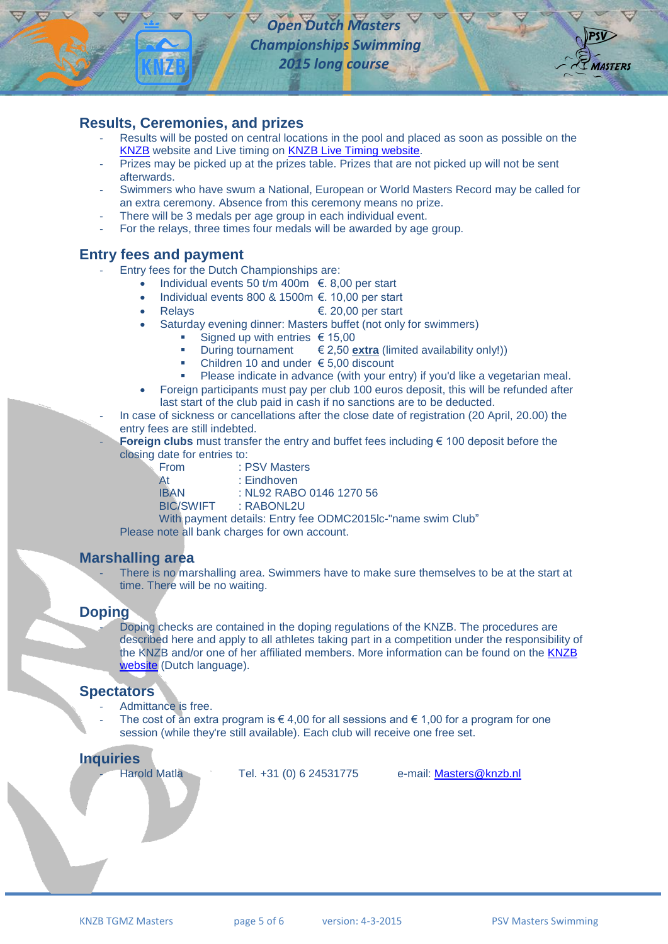

### **Results, Ceremonies, and prizes**

- Results will be posted on central locations in the pool and placed as soon as possible on the [KNZB](http://www.knzb.nl/english/open_dutch_masters_championships_long_course) website and Live timing on [KNZB Live Timing website.](http://livetiming.knzb.nl/onmk15lb/index_us.html)
- Prizes may be picked up at the prizes table. Prizes that are not picked up will not be sent afterwards.
- Swimmers who have swum a National, European or World Masters Record may be called for an extra ceremony. Absence from this ceremony means no prize.
- There will be 3 medals per age group in each individual event.
- For the relays, three times four medals will be awarded by age group.

#### **Entry fees and payment**

- Entry fees for the Dutch Championships are:
	- Individual events 50 t/m 400m €. 8,00 per start
		- Individual events 800 & 1500m €. 10,00 per start
			- Relays  $\epsilon$ , 20,00 per start
		- Saturday evening dinner: Masters buffet (not only for swimmers)
			- Signed up with entries  $\epsilon$  15,00
			- During tournament  $\in$  2,50 **extra** (limited availability only!))
			- Children 10 and under  $€ 5,00$  discount
			- Please indicate in advance (with your entry) if you'd like a vegetarian meal.
		- Foreign participants must pay per club 100 euros deposit, this will be refunded after last start of the club paid in cash if no sanctions are to be deducted.
	- In case of sickness or cancellations after the close date of registration (20 April, 20.00) the entry fees are still indebted.
	- **Foreign clubs** must transfer the entry and buffet fees including € 100 deposit before the closing date for entries to:

| From             | : PSV Masters            |  |  |  |  |
|------------------|--------------------------|--|--|--|--|
| At               | : Eindhoven              |  |  |  |  |
| <b>IBAN</b>      | : NL92 RABO 0146 1270 56 |  |  |  |  |
| <b>BIC/SWIFT</b> | : RABONL2U               |  |  |  |  |
|                  |                          |  |  |  |  |

With payment details: Entry fee ODMC2015lc-"name swim Club" Please note all bank charges for own account.

#### **Marshalling area**

There is no marshalling area. Swimmers have to make sure themselves to be at the start at time. There will be no waiting.

#### **Doping**

Doping checks are contained in the doping regulations of the KNZB. The procedures are described here and apply to all athletes taking part in a competition under the responsibility of the KNZB and/or one of her affiliated members. More information can be found on the [KNZB](http://www.knzb.nl/knzbvoor/sporters/medisch)  [website](http://www.knzb.nl/knzbvoor/sporters/medisch) (Dutch language).

## **Spectators**

- Admittance is free.
- The cost of an extra program is  $\in$  4,00 for all sessions and  $\in$  1,00 for a program for one session (while they're still available). Each club will receive one free set.

#### **Inquiries**

Harold Matla Tel. +31 (0) 6 24531775 e-mail: [Masters@knzb.nl](mailto:Masters@knzb.nl?subject=Informatie%20over%20ONMK2014kb)